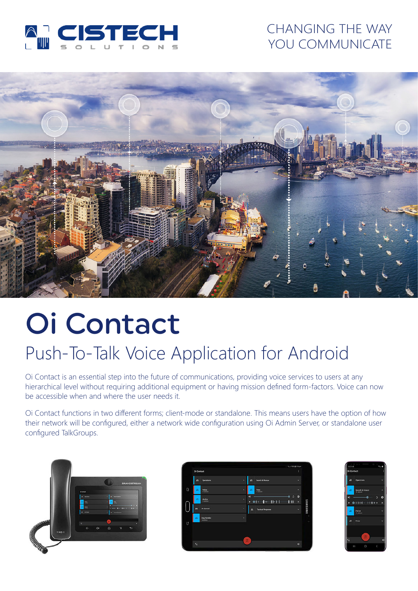

### CHANGING THE WAY YOU COMMUNICATE



# Oi Contact

## Push-To-Talk Voice Application for Android

Oi Contact is an essential step into the future of communications, providing voice services to users at any hierarchical level without requiring additional equipment or having mission defined form-factors. Voice can now be accessible when and where the user needs it.

Oi Contact functions in two different forms; client-mode or standalone. This means users have the option of how their network will be configured, either a network wide configuration using Oi Admin Server, or standalone user configured TalkGroups.